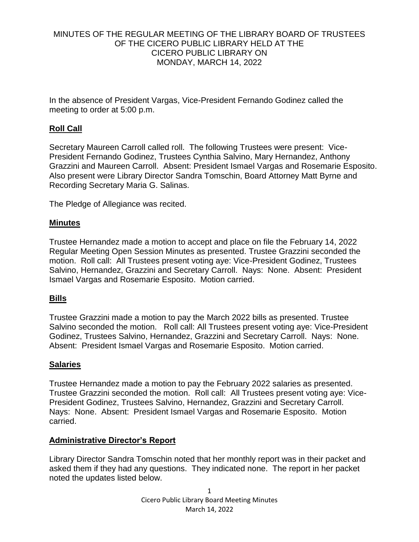# MINUTES OF THE REGULAR MEETING OF THE LIBRARY BOARD OF TRUSTEES OF THE CICERO PUBLIC LIBRARY HELD AT THE CICERO PUBLIC LIBRARY ON MONDAY, MARCH 14, 2022

In the absence of President Vargas, Vice-President Fernando Godinez called the meeting to order at 5:00 p.m.

# **Roll Call**

Secretary Maureen Carroll called roll. The following Trustees were present: Vice-President Fernando Godinez, Trustees Cynthia Salvino, Mary Hernandez, Anthony Grazzini and Maureen Carroll. Absent: President Ismael Vargas and Rosemarie Esposito. Also present were Library Director Sandra Tomschin, Board Attorney Matt Byrne and Recording Secretary Maria G. Salinas.

The Pledge of Allegiance was recited.

### **Minutes**

Trustee Hernandez made a motion to accept and place on file the February 14, 2022 Regular Meeting Open Session Minutes as presented. Trustee Grazzini seconded the motion. Roll call: All Trustees present voting aye: Vice-President Godinez, Trustees Salvino, Hernandez, Grazzini and Secretary Carroll. Nays: None. Absent: President Ismael Vargas and Rosemarie Esposito. Motion carried.

# **Bills**

Trustee Grazzini made a motion to pay the March 2022 bills as presented. Trustee Salvino seconded the motion. Roll call: All Trustees present voting aye: Vice-President Godinez, Trustees Salvino, Hernandez, Grazzini and Secretary Carroll. Nays: None. Absent: President Ismael Vargas and Rosemarie Esposito. Motion carried.

# **Salaries**

Trustee Hernandez made a motion to pay the February 2022 salaries as presented. Trustee Grazzini seconded the motion. Roll call: All Trustees present voting aye: Vice-President Godinez, Trustees Salvino, Hernandez, Grazzini and Secretary Carroll. Nays: None. Absent: President Ismael Vargas and Rosemarie Esposito. Motion carried.

# **Administrative Director's Report**

Library Director Sandra Tomschin noted that her monthly report was in their packet and asked them if they had any questions. They indicated none. The report in her packet noted the updates listed below.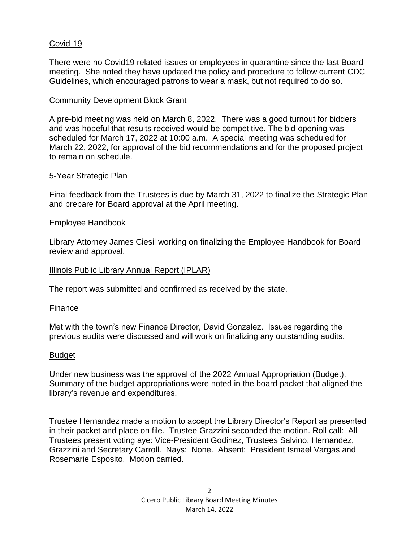# Covid-19

There were no Covid19 related issues or employees in quarantine since the last Board meeting. She noted they have updated the policy and procedure to follow current CDC Guidelines, which encouraged patrons to wear a mask, but not required to do so.

### Community Development Block Grant

A pre-bid meeting was held on March 8, 2022. There was a good turnout for bidders and was hopeful that results received would be competitive. The bid opening was scheduled for March 17, 2022 at 10:00 a.m. A special meeting was scheduled for March 22, 2022, for approval of the bid recommendations and for the proposed project to remain on schedule.

### 5-Year Strategic Plan

Final feedback from the Trustees is due by March 31, 2022 to finalize the Strategic Plan and prepare for Board approval at the April meeting.

### Employee Handbook

Library Attorney James Ciesil working on finalizing the Employee Handbook for Board review and approval.

### Illinois Public Library Annual Report (IPLAR)

The report was submitted and confirmed as received by the state.

### Finance

Met with the town's new Finance Director, David Gonzalez. Issues regarding the previous audits were discussed and will work on finalizing any outstanding audits.

### Budget

Under new business was the approval of the 2022 Annual Appropriation (Budget). Summary of the budget appropriations were noted in the board packet that aligned the library's revenue and expenditures.

Trustee Hernandez made a motion to accept the Library Director's Report as presented in their packet and place on file. Trustee Grazzini seconded the motion. Roll call: All Trustees present voting aye: Vice-President Godinez, Trustees Salvino, Hernandez, Grazzini and Secretary Carroll. Nays: None. Absent: President Ismael Vargas and Rosemarie Esposito. Motion carried.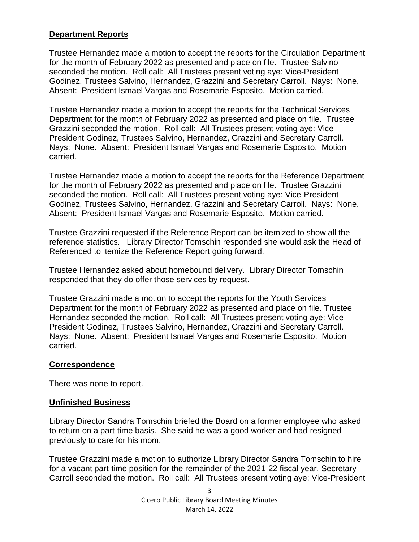### **Department Reports**

Trustee Hernandez made a motion to accept the reports for the Circulation Department for the month of February 2022 as presented and place on file. Trustee Salvino seconded the motion. Roll call: All Trustees present voting aye: Vice-President Godinez, Trustees Salvino, Hernandez, Grazzini and Secretary Carroll. Nays: None. Absent: President Ismael Vargas and Rosemarie Esposito. Motion carried.

Trustee Hernandez made a motion to accept the reports for the Technical Services Department for the month of February 2022 as presented and place on file. Trustee Grazzini seconded the motion. Roll call: All Trustees present voting aye: Vice-President Godinez, Trustees Salvino, Hernandez, Grazzini and Secretary Carroll. Nays: None. Absent: President Ismael Vargas and Rosemarie Esposito. Motion carried.

Trustee Hernandez made a motion to accept the reports for the Reference Department for the month of February 2022 as presented and place on file. Trustee Grazzini seconded the motion. Roll call: All Trustees present voting aye: Vice-President Godinez, Trustees Salvino, Hernandez, Grazzini and Secretary Carroll. Nays: None. Absent: President Ismael Vargas and Rosemarie Esposito. Motion carried.

Trustee Grazzini requested if the Reference Report can be itemized to show all the reference statistics. Library Director Tomschin responded she would ask the Head of Referenced to itemize the Reference Report going forward.

Trustee Hernandez asked about homebound delivery. Library Director Tomschin responded that they do offer those services by request.

Trustee Grazzini made a motion to accept the reports for the Youth Services Department for the month of February 2022 as presented and place on file. Trustee Hernandez seconded the motion. Roll call: All Trustees present voting aye: Vice-President Godinez, Trustees Salvino, Hernandez, Grazzini and Secretary Carroll. Nays: None. Absent: President Ismael Vargas and Rosemarie Esposito. Motion carried.

### **Correspondence**

There was none to report.

### **Unfinished Business**

Library Director Sandra Tomschin briefed the Board on a former employee who asked to return on a part-time basis. She said he was a good worker and had resigned previously to care for his mom.

Trustee Grazzini made a motion to authorize Library Director Sandra Tomschin to hire for a vacant part-time position for the remainder of the 2021-22 fiscal year. Secretary Carroll seconded the motion. Roll call: All Trustees present voting aye: Vice-President